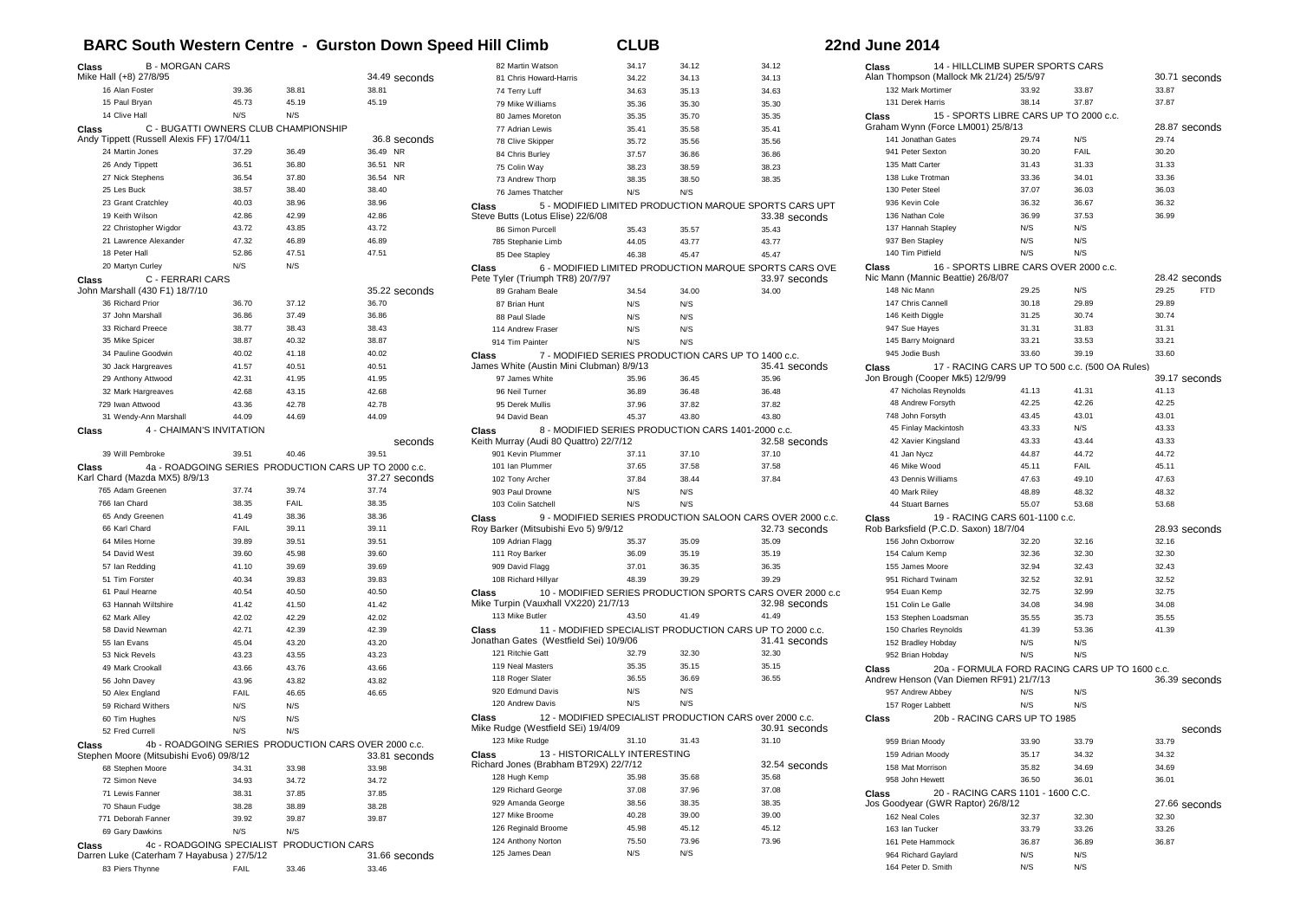## **BARC South Western Centre - Gurston Down Speed Hill Climb CLUB CLUB** 22

|  | <b>2nd June 2014</b> : |  |
|--|------------------------|--|
|--|------------------------|--|

| Class | <b>B-MORGAN CARS</b>                                                                            |                |                | 34.49 seconds          |
|-------|-------------------------------------------------------------------------------------------------|----------------|----------------|------------------------|
|       | Mike Hall (+8) 27/8/95<br>16 Alan Foster                                                        | 39.36          | 38.81          | 38.81                  |
|       | 15 Paul Brvan                                                                                   | 45.73          | 45.19          | 45.19                  |
|       | 14 Clive Hall                                                                                   | N/S            | N/S            |                        |
| Class | C - BUGATTI OWNERS CLUB CHAMPIONSHIP                                                            |                |                |                        |
|       | Andy Tippett (Russell Alexis FF) 17/04/11                                                       |                |                | 36.8 seconds           |
|       | 24 Martin Jones                                                                                 | 37.29          | 36.49          | 36.49 NR               |
|       | 26 Andy Tippett                                                                                 | 36.51          | 36.80          | 36.51 NR               |
|       | 27 Nick Stephens                                                                                | 36.54          | 37.80          | 36.54 NR               |
|       | 25 Les Buck                                                                                     | 38.57          | 38.40          | 38.40                  |
|       | 23 Grant Cratchley                                                                              | 40.03          | 38.96          | 38.96                  |
|       | 19 Keith Wilson                                                                                 | 42.86          | 42.99          | 42.86                  |
|       | 22 Christopher Wigdor                                                                           | 43.72          | 43.85          | 43.72                  |
|       | 21 Lawrence Alexander                                                                           | 47.32          | 46.89          | 46.89                  |
|       | 18 Peter Hall                                                                                   | 52.86          | 47.51          | 47.51                  |
|       | 20 Martyn Curley                                                                                | N/S            | N/S            |                        |
| Class | C - FERRARI CARS                                                                                |                |                |                        |
|       | John Marshall (430 F1) 18/7/10                                                                  |                |                | 35.22 seconds          |
|       | 36 Richard Prior                                                                                | 36.70          | 37.12          | 36.70                  |
|       | 37 John Marshall                                                                                | 36.86          | 37.49          | 36.86                  |
|       | 33 Richard Preece                                                                               | 38.77          | 38.43          | 38.43                  |
|       | 35 Mike Spicer                                                                                  | 38.87          | 40.32          | 38.87                  |
|       | 34 Pauline Goodwin                                                                              | 40.02          | 41.18          | 40.02                  |
|       | 30 Jack Hargreaves                                                                              | 41.57          | 40.51          | 40.51                  |
|       | 29 Anthony Attwood                                                                              | 42.31          | 41.95          | 41.95                  |
|       | 32 Mark Hargreaves<br>729 Iwan Attwood                                                          | 42.68<br>43.36 | 43.15<br>42.78 | 42.68<br>42.78         |
|       | 31 Wendy-Ann Marshall                                                                           | 44.09          | 44.69          | 44.09                  |
|       | 4 - CHAIMAN'S INVITATION                                                                        |                |                |                        |
| Class |                                                                                                 |                |                | seconds                |
|       | 39 Will Pembroke                                                                                | 39.51          | 40.46          | 39.51                  |
|       |                                                                                                 |                |                |                        |
| Class | 4a - ROADGOING SERIES PRODUCTION CARS UP TO 2000 c.c.                                           |                |                |                        |
|       | Karl Chard (Mazda MX5) 8/9/13                                                                   |                |                | 37.27 seconds          |
|       | 765 Adam Greenen                                                                                | 37.74          | 39.74          | 37.74                  |
|       | 766 Ian Chard                                                                                   | 38.35          | FAIL           | 38.35                  |
|       | 65 Andy Greenen                                                                                 | 41.49          | 38.36          | 38.36                  |
|       | 66 Karl Chard                                                                                   | <b>FAIL</b>    | 39.11          | 39.11                  |
|       | 64 Miles Horne                                                                                  | 39.89          | 39.51          | 39.51                  |
|       | 54 David West                                                                                   | 39.60          | 45.98          | 39.60                  |
|       | 57 Ian Redding                                                                                  | 41.10          | 39.69          | 39.69                  |
|       | 51 Tim Forster                                                                                  | 40.34          | 39.83          | 39.83                  |
|       | 61 Paul Hearne                                                                                  | 40.54          | 40.50          | 40.50                  |
|       | 63 Hannah Wiltshire                                                                             | 41.42          | 41.50          | 41.42                  |
|       | 62 Mark Alley                                                                                   | 42.02          | 42.29          | 42.02                  |
|       | 58 David Newman                                                                                 | 42.71          | 42.39          | 42.39                  |
|       | 55 Ian Evans                                                                                    | 45.04          | 43.20          | 43.20                  |
|       | 53 Nick Revels                                                                                  | 43.23          | 43.55          | 43.23                  |
|       | 49 Mark Crookall                                                                                | 43.66          | 43.76          | 43.66                  |
|       | 56 John Davey                                                                                   | 43.96          | 43.82          | 43.82                  |
|       | 50 Alex England                                                                                 | FAIL           | 46.65          | 46.65                  |
|       | 59 Richard Withers                                                                              | N/S            | N/S            |                        |
|       | 60 Tim Hughes<br>52 Fred Currell                                                                | N/S<br>N/S     | N/S<br>N/S     |                        |
|       |                                                                                                 |                |                |                        |
| Class | 4b - ROADGOING SERIES PRODUCTION CARS OVER 2000 c.c.<br>Stephen Moore (Mitsubishi Evo6) 09/8/12 |                |                | 33.81 seconds          |
|       | 68 Stephen Moore                                                                                | 34.31          | 33.98          | 33.98                  |
|       | 72 Simon Neve                                                                                   | 34.93          | 34.72          | 34.72                  |
|       | 71 Lewis Fanner                                                                                 | 38.31          | 37.85          | 37.85                  |
|       | 70 Shaun Fudge                                                                                  | 38.28          | 38.89          | 38.28                  |
|       | 771 Deborah Fanner                                                                              | 39.92          | 39.87          | 39.87                  |
|       | 69 Gary Dawkins                                                                                 | N/S            | N/S            |                        |
| Class | 4c - ROADGOING SPECIALIST PRODUCTION CARS                                                       |                |                |                        |
|       | Darren Luke (Caterham 7 Hayabusa) 27/5/12<br>83 Piers Thynne                                    | FAIL           | 33.46          | 31.66 seconds<br>33.46 |

| 82 Martin Watson                                  | 34.17        | 34.12                                                    | 34.12                                                                      |
|---------------------------------------------------|--------------|----------------------------------------------------------|----------------------------------------------------------------------------|
| 81 Chris Howard-Harris                            | 34.22        | 34.13                                                    | 34.13                                                                      |
| 74 Terry Luff                                     | 34.63        | 35.13                                                    | 34.63                                                                      |
| 79 Mike Williams                                  | 35.36        | 35.30                                                    | 35.30                                                                      |
| 80 James Moreton                                  | 35.35        | 35.70                                                    | 35.35                                                                      |
| 77 Adrian Lewis                                   | 35.41        | 35.58                                                    | 35.41                                                                      |
| 78 Clive Skipper                                  | 35.72        | 35.56                                                    | 35.56                                                                      |
| 84 Chris Burley                                   | 37.57        | 36.86                                                    | 36.86                                                                      |
| 75 Colin Way                                      | 38.23        | 38.59                                                    | 38.23                                                                      |
| 73 Andrew Thorp                                   | 38.35        | 38.50                                                    | 38.35                                                                      |
| 76 James Thatcher                                 | N/S          | N/S                                                      |                                                                            |
| Class<br>Steve Butts (Lotus Elise) 22/6/08        |              | 5 - MODIFIED LIMITED PRODUCTION MARQUE SPORTS CARS UPT   | 33.38 seconds                                                              |
| 86 Simon Purcell                                  | 35.43        | 35.57                                                    | 35.43                                                                      |
| 785 Stephanie Limb                                | 44.05        | 43.77                                                    | 43.77                                                                      |
| 85 Dee Stapley                                    | 46.38        | 45.47                                                    | 45.47                                                                      |
| Class<br>Pete Tyler (Triumph TR8) 20/7/97         |              | 6 - MODIFIED LIMITED PRODUCTION MARQUE SPORTS CARS OVE   | 33.97 seconds                                                              |
| 89 Graham Beale                                   | 34.54        | 34.00                                                    | 34.00                                                                      |
| 87 Brian Hunt                                     | N/S          | N/S                                                      |                                                                            |
| 88 Paul Slade                                     | N/S          | N/S                                                      |                                                                            |
| 114 Andrew Fraser                                 | N/S          | N/S                                                      |                                                                            |
| 914 Tim Painter                                   | N/S          | N/S                                                      |                                                                            |
| Class<br>James White (Austin Mini Clubman) 8/9/13 |              | 7 - MODIFIED SERIES PRODUCTION CARS UP TO 1400 c.c.      | 35.41 seconds                                                              |
| 97 James White                                    | 35.96        | 36.45                                                    | 35.96                                                                      |
| 96 Neil Turner                                    | 36.89        | 36.48                                                    | 36.48                                                                      |
| 95 Derek Mullis                                   | 37.96        | 37.82                                                    | 37.82                                                                      |
| 94 David Bean                                     | 45.37        | 43.80                                                    | 43.80                                                                      |
| Class<br>Keith Murray (Audi 80 Quattro) 22/7/12   |              | 8 - MODIFIED SERIES PRODUCTION CARS 1401-2000 c.c.       | 32.58 seconds                                                              |
| 901 Kevin Plummer                                 | 37.11        | 37.10                                                    | 37.10                                                                      |
| 101 Ian Plummer                                   | 37.65        | 37.58                                                    | 37.58                                                                      |
| 102 Tony Archer                                   | 37.84        | 38.44                                                    | 37.84                                                                      |
| 903 Paul Drowne                                   | N/S          | N/S                                                      |                                                                            |
| 103 Colin Satchell                                | N/S          | N/S                                                      |                                                                            |
| Class<br>Roy Barker (Mitsubishi Evo 5) 9/9/12     |              |                                                          | 9 - MODIFIED SERIES PRODUCTION SALOON CARS OVER 2000 c.c.<br>32.73 seconds |
| 109 Adrian Flagg                                  | 35.37        | 35.09                                                    | 35.09                                                                      |
| 111 Roy Barker                                    | 36.09        | 35.19                                                    | 35.19                                                                      |
| 909 David Flagg                                   | 37.01        | 36.35                                                    | 36.35                                                                      |
| 108 Richard Hillyar                               | 48.39        | 39.29                                                    | 39.29                                                                      |
| Class<br>Mike Turpin (Vauxhall VX220) 21/7/13     |              |                                                          | 10 - MODIFIED SERIES PRODUCTION SPORTS CARS OVER 2000 c.c<br>32.98 seconds |
| 113 Mike Butler                                   | 43.50        | 41 49                                                    | 41.49                                                                      |
| Class<br>Jonathan Gates (Westfield Sei) 10/9/06   |              | 11 - MODIFIED SPECIALIST PRODUCTION CARS UP TO 2000 c.c. | 31.41 seconds                                                              |
| 121 Ritchie Gatt                                  | 32.79        | 32.30                                                    | 32.30                                                                      |
| 119 Neal Masters                                  | 35.35        | 35.15                                                    | 35.15                                                                      |
| 118 Roger Slater                                  | 36.55        | 36.69                                                    | 36.55                                                                      |
| 920 Edmund Davis                                  | N/S          | N/S                                                      |                                                                            |
| 120 Andrew Davis                                  | N/S          | N/S                                                      |                                                                            |
| Class<br>Mike Rudge (Westfield SEi) 19/4/09       |              | 12 - MODIFIED SPECIALIST PRODUCTION CARS over 2000 c.c.  | 30.91 seconds                                                              |
| 123 Mike Rudge                                    | 31.10        | 31.43                                                    | 31.10                                                                      |
| 13 - HISTORICALLY INTERESTING<br>Class            |              |                                                          |                                                                            |
| Richard Jones (Brabham BT29X) 22/7/12             |              |                                                          | 32.54 seconds                                                              |
| 128 Hugh Kemp                                     | 35.98        | 35.68                                                    | 35.68                                                                      |
| 129 Richard George                                | 37.08        | 37.96                                                    | 37.08                                                                      |
| 929 Amanda George                                 | 38.56        | 38.35                                                    | 38.35                                                                      |
| 127 Mike Broome                                   |              |                                                          |                                                                            |
|                                                   | 40.28        | 39.00                                                    | 39.00                                                                      |
| 126 Reginald Broome                               | 45.98        | 45.12                                                    | 45.12                                                                      |
| 124 Anthony Norton<br>125 James Dean              | 75.50<br>N/S | 73.96<br>N/S                                             | 73.96                                                                      |

| Class | 14 - HILLCLIMB SUPER SPORTS CARS                                        |       |                                                |                     |
|-------|-------------------------------------------------------------------------|-------|------------------------------------------------|---------------------|
|       | Alan Thompson (Mallock Mk 21/24) 25/5/97                                |       |                                                | 30.71 seconds       |
|       | 132 Mark Mortimer                                                       | 33.92 | 33.87                                          | 33.87               |
|       | 131 Derek Harris                                                        | 38.14 | 37.87                                          | 37.87               |
| Class | 15 - SPORTS LIBRE CARS UP TO 2000 c.c.                                  |       |                                                |                     |
|       | Graham Wynn (Force LM001) 25/8/13                                       |       |                                                | 28.87 seconds       |
|       | 141 Jonathan Gates                                                      | 29.74 | N/S                                            | 29.74               |
|       | 941 Peter Sexton                                                        | 30.20 | FAIL                                           | 30.20               |
|       | 135 Matt Carter                                                         | 31.43 | 31.33                                          | 31.33               |
|       | 138 Luke Trotman                                                        | 33.36 | 34.01                                          | 33.36               |
|       | 130 Peter Steel                                                         | 37.07 | 36.03                                          | 36.03               |
|       | 936 Kevin Cole                                                          | 36.32 | 36.67                                          | 36.32               |
|       | 136 Nathan Cole                                                         | 36.99 | 37.53                                          | 36.99               |
|       | 137 Hannah Stapley                                                      | N/S   | N/S                                            |                     |
|       | 937 Ben Stapley                                                         | N/S   | N/S                                            |                     |
|       | 140 Tim Pitfield                                                        | N/S   | N/S                                            |                     |
| Class | 16 - SPORTS LIBRE CARS OVER 2000 c.c.                                   |       |                                                |                     |
|       | Nic Mann (Mannic Beattie) 26/8/07                                       |       |                                                | 28.42 seconds       |
|       | 148 Nic Mann                                                            | 29.25 | N/S                                            | 29.25<br><b>FTD</b> |
|       | 147 Chris Cannell                                                       | 30.18 | 29.89                                          | 29.89               |
|       | 146 Keith Diggle                                                        | 31.25 | 30.74                                          | 30.74               |
|       | 947 Sue Hayes                                                           | 31.31 | 31.83                                          | 31.31               |
|       | 145 Barry Moignard                                                      | 33.21 | 33.53                                          | 33.21               |
|       | 945 Jodie Bush                                                          | 33.60 | 39.19                                          | 33.60               |
| Class |                                                                         |       | 17 - RACING CARS UP TO 500 c.c. (500 OA Rules) |                     |
|       | Jon Brough (Cooper Mk5) 12/9/99                                         |       |                                                | 39.17 seconds       |
|       | 47 Nicholas Reynolds                                                    | 41.13 | 41.31                                          | 41.13               |
|       | 48 Andrew Forsyth                                                       | 42.25 | 42.26                                          | 42.25               |
|       | 748 John Forsyth                                                        | 43.45 | 43.01                                          | 43.01               |
|       | 45 Finlay Mackintosh                                                    | 43.33 | N/S                                            | 43.33               |
|       | 42 Xavier Kingsland                                                     | 43.33 | 43.44                                          | 43.33               |
|       | 41 Jan Nycz                                                             | 44.87 | 44.72                                          | 44.72               |
|       | 46 Mike Wood                                                            | 45.11 | FAIL                                           | 45.11               |
|       | 43 Dennis Williams                                                      | 47.63 | 49.10                                          | 47.63               |
|       | 40 Mark Riley                                                           | 48.89 | 48.32                                          | 48.32               |
|       | 44 Stuart Barnes                                                        | 55.07 | 53.68                                          | 53.68               |
| Class | 19 - RACING CARS 601-1100 c.c.<br>Rob Barksfield (P.C.D. Saxon) 18/7/04 |       |                                                | 28.93 seconds       |
|       | 156 John Oxborrow                                                       | 32.20 | 32.16                                          | 32.16               |
|       | 154 Calum Kemp                                                          | 32.36 | 32.30                                          | 32.30               |
|       | 155 James Moore                                                         | 32.94 | 32.43                                          | 32.43               |
|       | 951 Richard Twinam                                                      | 32.52 | 32.91                                          | 32.52               |
|       | 954 Euan Kemp                                                           | 32.75 | 32.99                                          | 32.75               |
|       |                                                                         | 34.08 | 34.98                                          | 34.08               |
|       | 151 Colin Le Galle<br>153 Stephen Loadsman                              | 35.55 | 35.73                                          | 35.55               |
|       | 150 Charles Reynolds                                                    | 41.39 | 53.36                                          | 41.39               |
|       | 152 Bradley Hobday                                                      | N/S   | N/S                                            |                     |
|       | 952 Brian Hobday                                                        | N/S   | N/S                                            |                     |
| Class |                                                                         |       | 20a - FORMULA FORD RACING CARS UP TO 1600 c.c. |                     |
|       | Andrew Henson (Van Diemen RF91) 21/7/13                                 |       |                                                | 36.39 seconds       |
|       | 957 Andrew Abbey                                                        | N/S   | N/S                                            |                     |
|       | 157 Roger Labbett                                                       | N/S   | N/S                                            |                     |
| Class | 20b - RACING CARS UP TO 1985                                            |       |                                                |                     |
|       |                                                                         |       |                                                | seconds             |
|       | 959 Brian Moody                                                         | 33.90 | 33.79                                          | 33.79               |
|       | 159 Adrian Moody                                                        | 35.17 | 34.32                                          | 34.32               |
|       | 158 Mat Morrison                                                        | 35.82 | 34.69                                          | 34.69               |
|       |                                                                         |       |                                                |                     |
|       |                                                                         | 36.50 | 36.01                                          | 36.01               |
|       | 958 John Hewett                                                         |       |                                                |                     |
| Class | 20 - RACING CARS 1101 - 1600 C.C.<br>Jos Goodyear (GWR Raptor) 26/8/12  |       |                                                | 27.66 seconds       |
|       | 162 Neal Coles                                                          | 32.37 | 32.30                                          | 32.30               |
|       | 163 Ian Tucker                                                          | 33.79 | 33.26                                          | 33.26               |
|       | 161 Pete Hammock                                                        | 36.87 | 36.89                                          | 36.87               |
|       | 964 Richard Gaylard                                                     | N/S   | N/S                                            |                     |